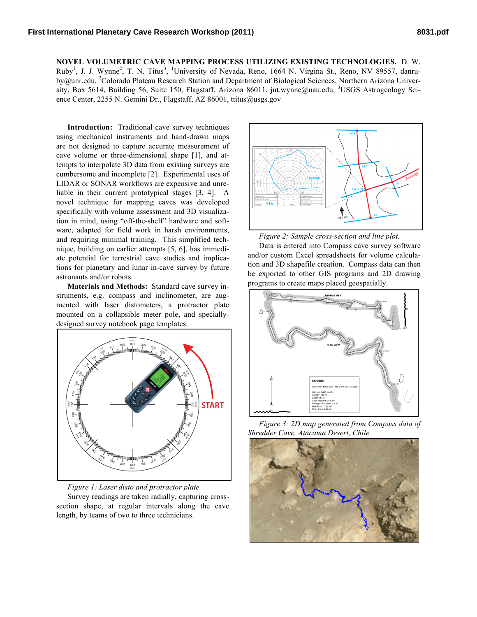**NOVEL VOLUMETRIC CAVE MAPPING PROCESS UTILIZING EXISTING TECHNOLOGIES.** D. W. Ruby<sup>1</sup>, J. J. Wynne<sup>2</sup>, T. N. Titus<sup>3</sup>, <sup>1</sup>University of Nevada, Reno, 1664 N. Virgina St., Reno, NV 89557, danruby@unr.edu, <sup>2</sup>Colorado Plateau Research Station and Department of Biological Sciences, Northern Arizona University, Box 5614, Building 56, Suite 150, Flagstaff, Arizona 86011, jut.wynne@nau.edu, <sup>3</sup>USGS Astrogeology Science Center, 2255 N. Gemini Dr., Flagstaff, AZ 86001, ttitus@usgs.gov

**Introduction:** Traditional cave survey techniques using mechanical instruments and hand-drawn maps are not designed to capture accurate measurement of cave volume or three-dimensional shape [1], and attempts to interpolate 3D data from existing surveys are cumbersome and incomplete [2]. Experimental uses of LIDAR or SONAR workflows are expensive and unreliable in their current prototypical stages [3, 4]. A novel technique for mapping caves was developed specifically with volume assessment and 3D visualization in mind, using "off-the-shelf" hardware and software, adapted for field work in harsh environments, and requiring minimal training. This simplified technique, building on earlier attempts [5, 6], has immediate potential for terrestrial cave studies and implications for planetary and lunar in-cave survey by future astronauts and/or robots.

**Materials and Methods:** Standard cave survey instruments, e.g. compass and inclinometer, are augmented with laser distometers, a protractor plate mounted on a collapsible meter pole, and speciallydesigned survey notebook page templates.



*Figure 1: Laser disto and protractor plate.*

Survey readings are taken radially, capturing crosssection shape, at regular intervals along the cave length, by teams of two to three technicians.



*Figure 2: Sample cross-section and line plot.*

Data is entered into Compass cave survey software and/or custom Excel spreadsheets for volume calculation and 3D shapefile creation. Compass data can then be exported to other GIS programs and 2D drawing programs to create maps placed geospatially.



*Figure 3: 2D map generated from Compass data of Shredder Cave, Atacama Desert, Chile.*